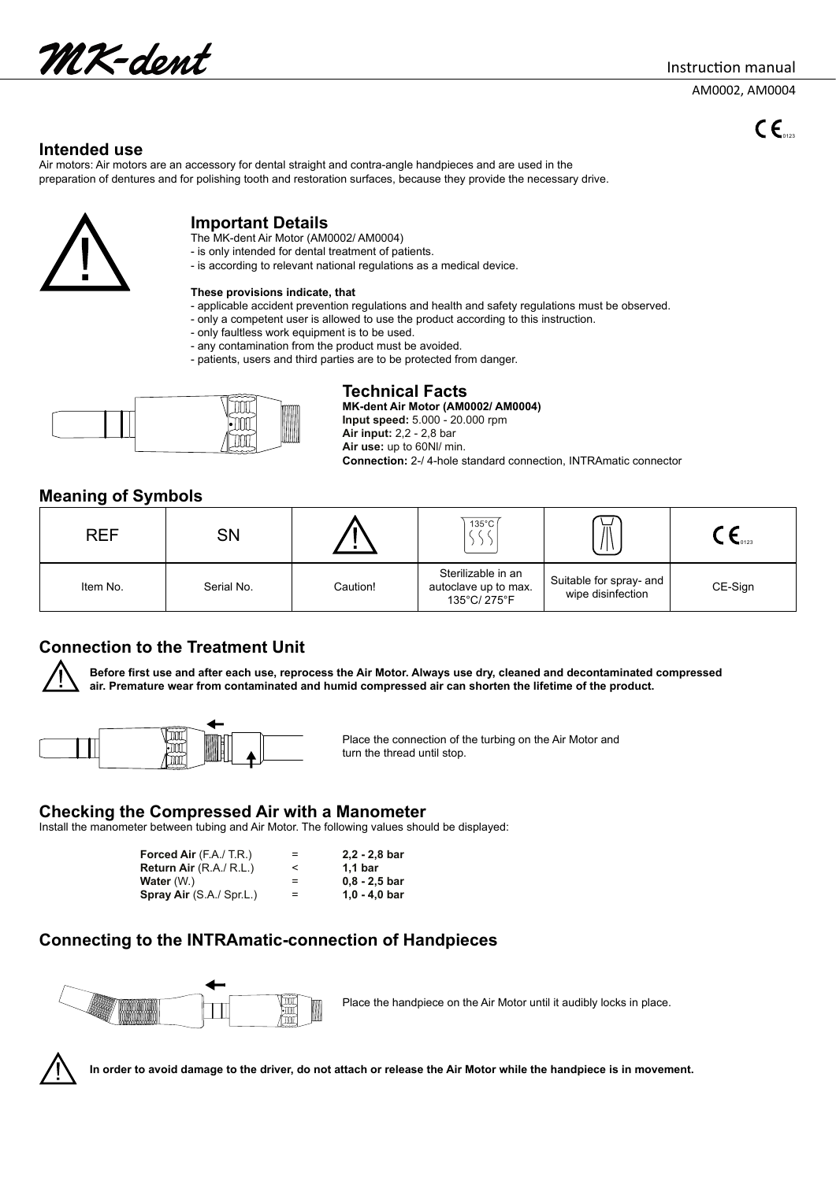UK-dent

Instruction manual

AM0002, AM0004

 $c_{\epsilon}$ 

### **Intended use**

Air motors: Air motors are an accessory for dental straight and contra-angle handpieces and are used in the preparation of dentures and for polishing tooth and restoration surfaces, because they provide the necessary drive.



### **Important Details**

- The MK-dent Air Motor (AM0002/ AM0004)
- is only intended for dental treatment of patients.
- is according to relevant national regulations as a medical device.

#### **These provisions indicate, that**

- applicable accident prevention regulations and health and safety regulations must be observed.
- only a competent user is allowed to use the product according to this instruction.
- only faultless work equipment is to be used.
- any contamination from the product must be avoided.
- patients, users and third parties are to be protected from danger.



**Technical Facts**<br>TILL TILL MIX-dent Air Motor (AMG

**MK-dent Air Motor (AM0002/ AM0004) Input speed:** 5.000 - 20.000 rpm

**Air input:** 2,2 - 2,8 bar

**Air use:** up to 60Nl/ min. **Connection:** 2-/ 4-hole standard connection, INTRAmatic connector

### **Meaning of Symbols**

| <b>REF</b> | SN         |          | $135^{\circ}$ C                                            | ◡<br>$\mathbf{H}$                            | $\bullet$ 0123 |
|------------|------------|----------|------------------------------------------------------------|----------------------------------------------|----------------|
| Item No.   | Serial No. | Caution! | Sterilizable in an<br>autoclave up to max.<br>135°C/ 275°F | Suitable for spray- and<br>wipe disinfection | CE-Sign        |

# **Connection to the Treatment Unit**

**Before first use and after each use, reprocess the Air Motor. Always use dry, cleaned and decontaminated compressed air. Premature wear from contaminated and humid compressed air can shorten the lifetime of the product.**



 $\begin{bmatrix} 1 & 0 & 0 \\ 0 & 0 & 0 \\ 0 & 0 & 0 \end{bmatrix}$  Place the connection of the turbing on the Air Motor and turn the thread until stop.

### **Checking the Compressed Air with a Manometer**

Install the manometer between tubing and Air Motor. The following values should be displayed:

| <b>Forced Air</b> $(FA/TR)$     | $=$ | $2,2 - 2,8$ bar    |
|---------------------------------|-----|--------------------|
| Return Air $(R.A./ R.L.)$       |     | 1.1 <sub>bar</sub> |
| Water (W.)                      | $=$ | $0.8 - 2.5$ bar    |
| <b>Spray Air</b> (S.A./ Spr.L.) | $=$ | $1.0 - 4.0$ bar    |

# **Connecting to the INTRAmatic-connection of Handpieces**



Place the handpiece on the Air Motor until it audibly locks in place.



**In order to avoid damage to the driver, do not attach or release the Air Motor while the handpiece is in movement.**